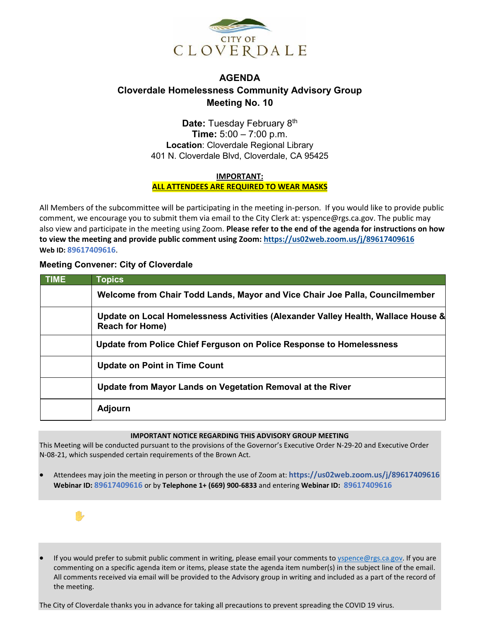

## **AGENDA Cloverdale Homelessness Community Advisory Group Meeting No. 10**

**Date:** Tuesday February 8th **Time:** 5:00 – 7:00 p.m. **Location**: Cloverdale Regional Library 401 N. Cloverdale Blvd, Cloverdale, CA 95425

**IMPORTANT:**

**ALL ATTENDEES ARE REQUIRED TO WEAR MASKS**

All Members of the subcommittee will be participating in the meeting in-person. If you would like to provide public comment, we encourage you to submit them via email to the City Clerk at: yspence@rgs.ca.gov. The public may also view and participate in the meeting using Zoom. **Please refer to the end of the agenda for instructions on how to view the meeting and provide public comment using Zoom: <https://us02web.zoom.us/j/89617409616> Web ID: 89617409616**.

## **Meeting Convener: City of Cloverdale**

| <b>TIME</b> | <b>Topics</b>                                                                                               |
|-------------|-------------------------------------------------------------------------------------------------------------|
|             | Welcome from Chair Todd Lands, Mayor and Vice Chair Joe Palla, Councilmember                                |
|             | Update on Local Homelessness Activities (Alexander Valley Health, Wallace House &<br><b>Reach for Home)</b> |
|             | Update from Police Chief Ferguson on Police Response to Homelessness                                        |
|             | <b>Update on Point in Time Count</b>                                                                        |
|             | Update from Mayor Lands on Vegetation Removal at the River                                                  |
|             | <b>Adjourn</b>                                                                                              |

## **IMPORTANT NOTICE REGARDING THIS ADVISORY GROUP MEETING**

This Meeting will be conducted pursuant to the provisions of the Governor's Executive Order N-29-20 and Executive Order N-08-21, which suspended certain requirements of the Brown Act.

• Attendees may join the meeting in person or through the use of Zoom at: **https://us02web.zoom.us/j/89617409616 Webinar ID: 89617409616** or by **Telephone 1+ (669) 900-6833** and entering **Webinar ID: 89617409616**



If you would prefer to submit public comment in writing, please email your comments to [yspence@rgs.ca.gov.](file://cocfsv1/data/Subcommittees/Homeless%20Community%20Advisory%20Group/Sept%2014,%202021/yspence@rgs.ca.gov) If you are commenting on a specific agenda item or items, please state the agenda item number(s) in the subject line of the email. All comments received via email will be provided to the Advisory group in writing and included as a part of the record of the meeting.

The City of Cloverdale thanks you in advance for taking all precautions to prevent spreading the COVID 19 virus.